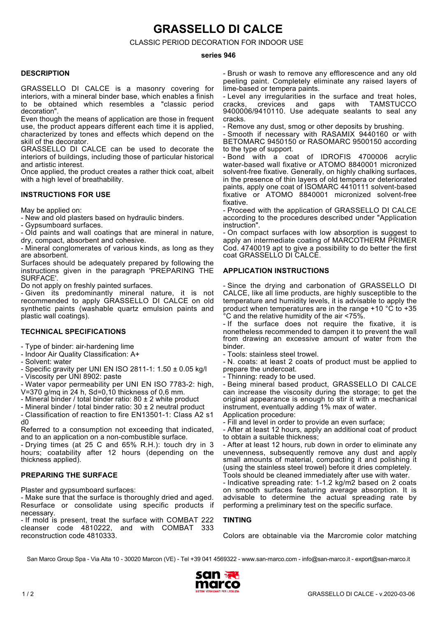**GRASSELLO DI CALCE**

CLASSIC PERIOD DECORATION FOR INDOOR USE

#### **series 946**

#### **DESCRIPTION**

GRASSELLO DI CALCE is a masonry covering for interiors, with a mineral binder base, which enables a finish to be obtained which resembles a "classic period decoration".

Even though the means of application are those in frequent use, the product appears different each time it is applied, characterized by tones and effects which depend on the skill of the decorator.

GRASSELLO DI CALCE can be used to decorate the interiors of buildings, including those of particular historical and artistic interest.

Once applied, the product creates a rather thick coat, albeit with a high level of breathability.

#### **INSTRUCTIONS FOR USE**

May be applied on:

- New and old plasters based on hydraulic binders.

- Gypsumboard surfaces.

- Old paints and wall coatings that are mineral in nature, dry, compact, absorbent and cohesive.

- Mineral conglomerates of various kinds, as long as they are absorbent.

Surfaces should be adequately prepared by following the instructions given in the paragraph 'PREPARING THE SURFACE'.

Do not apply on freshly painted surfaces.

- Given its predominantly mineral nature, it is not recommended to apply GRASSELLO DI CALCE on old synthetic paints (washable quartz emulsion paints and plastic wall coatings).

#### **TECHNICAL SPECIFICATIONS**

- Type of binder: air-hardening lime

- Indoor Air Quality Classification: A+
- Solvent: water
- Specific gravity per UNI EN ISO 2811-1: 1.50 ± 0.05 kg/l

- Viscosity per UNI 8902: paste

- Water vapor permeability per UNI EN ISO 7783-2: high, V=370 g/mq in 24 h, Sd=0,10 thickness of 0,6 mm.

- Mineral binder / total binder ratio: 80 ± 2 white product
- Mineral binder / total binder ratio: 30 ± 2 neutral product

- Classification of reaction to fire EN13501-1: Class A2 s1 d0

Referred to a consumption not exceeding that indicated, and to an application on a non-combustible surface.

- Drying times (at 25 C and 65% R.H.): touch dry in 3 hours; coatability after 12 hours (depending on the thickness applied).

#### **PREPARING THE SURFACE**

Plaster and gypsumboard surfaces:

- Make sure that the surface is thoroughly dried and aged. Resurface or consolidate using specific products if necessary.

- If mold is present, treat the surface with COMBAT 222 cleanser code 4810222, and with COMBAT 333 reconstruction code 4810333.

- Brush or wash to remove any efflorescence and any old peeling paint. Completely eliminate any raised layers of lime-based or tempera paints.

- Level any irregularities in the surface and treat holes, cracks, crevices and gaps with TAMSTUCCO cracks, crevices and gaps with TAMSTUCCO 9400006/9410110. Use adequate sealants to seal any cracks.

- Remove any dust, smog or other deposits by brushing.

- Smooth if necessary with RASAMIX 9440160 or with BETOMARC 9450150 or RASOMARC 9500150 according to the type of support.

- Bond with a coat of IDROFIS 4700006 acrylic water-based wall fixative or ATOMO 8840001 micronized solvent-free fixative. Generally, on highly chalking surfaces, in the presence of thin layers of old tempera or deteriorated paints, apply one coat of ISOMARC 4410111 solvent-based fixative or ATOMO 8840001 micronized solvent-free fixative.

- Proceed with the application of GRASSELLO DI CALCE according to the procedures described under "Application instruction".

- On compact surfaces with low absorption is suggest to apply an intermediate coating of MARCOTHERM PRIMER Cod. 4740019 apt to give a possibility to do better the first coat GRASSELLO DI CALCE.

## **APPLICATION INSTRUCTIONS**

- Since the drying and carbonation of GRASSELLO DI CALCE, like all lime products, are highly susceptible to the temperature and humidity levels, it is advisable to apply the product when temperatures are in the range +10 °C to +35 °C and the relative humidity of the air <75%.

- If the surface does not require the fixative, it is nonetheless recommended to dampen it to prevent the wall from drawing an excessive amount of water from the binder.

- Tools: stainless steel trowel.

- N. coats: at least 2 coats of product must be applied to prepare the undercoat.

- Thinning: ready to be used.

- Being mineral based product, GRASSELLO DI CALCE can increase the viscosity during the storage; to get the original appearance is enough to stir it with a mechanical instrument, eventually adding 1% max of water. Application procedure:

- Fill and level in order to provide an even surface; - After at least 12 hours, apply an additional coat of product

to obtain a suitable thickness;

- After at least 12 hours, rub down in order to eliminate any unevenness, subsequently remove any dust and apply small amounts of material, compacting it and polishing it (using the stainless steel trowel) before it dries completely. Tools should be cleaned immediately after use with water.

- Indicative spreading rate: 1-1.2 kg/m2 based on 2 coats on smooth surfaces featuring average absorption. It is advisable to determine the actual spreading rate by performing a preliminary test on the specific surface.

#### **TINTING**

Colors are obtainable via the Marcromie color matching

San Marco Group Spa - Via Alta 10 - 30020 Marcon (VE) - Tel +39 041 4569322 - www.san-marco.com - info@san-marco.it - export@san-marco.it